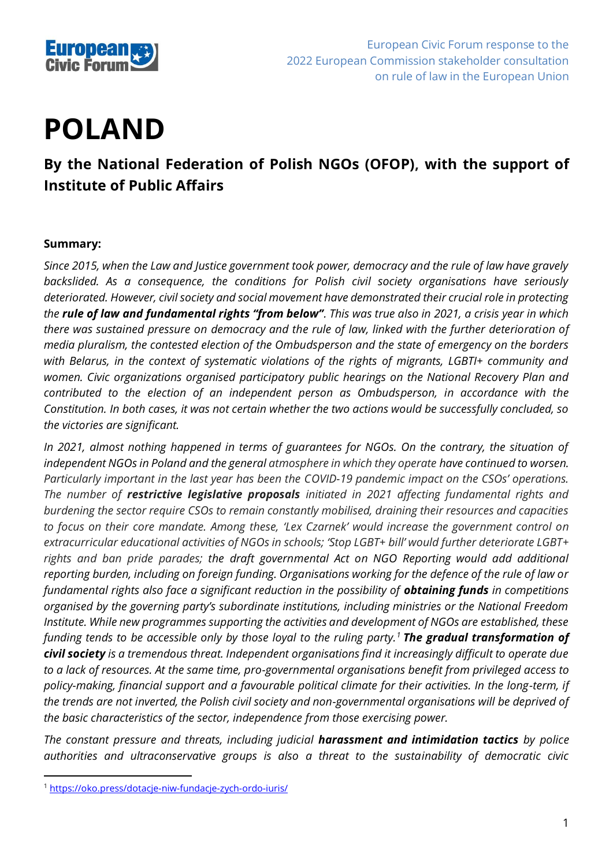

# **POLAND**

## **By the National Federation of Polish NGOs (OFOP), with the support of Institute of Public Affairs**

#### **Summary:**

*Since 2015, when the Law and Justice government took power, democracy and the rule of law have gravely backslided. As a consequence, the conditions for Polish civil society organisations have seriously deteriorated. However, civil society and social movement have demonstrated their crucial role in protecting the rule of law and fundamental rights "from below". This was true also in 2021, a crisis year in which there was sustained pressure on democracy and the rule of law, linked with the further deterioration of media pluralism, the contested election of the Ombudsperson and the state of emergency on the borders with Belarus, in the context of systematic violations of the rights of migrants, LGBTI+ community and women. Civic organizations organised participatory public hearings on the National Recovery Plan and contributed to the election of an independent person as Ombudsperson, in accordance with the Constitution. In both cases, it was not certain whether the two actions would be successfully concluded, so the victories are significant.* 

*In 2021, almost nothing happened in terms of guarantees for NGOs. On the contrary, the situation of independent NGOs in Poland and the general atmosphere in which they operate have continued to worsen. Particularly important in the last year has been the COVID-19 pandemic impact on the CSOs' operations. The number of restrictive legislative proposals initiated in 2021 affecting fundamental rights and burdening the sector require CSOs to remain constantly mobilised, draining their resources and capacities to focus on their core mandate. Among these, 'Lex Czarnek' would increase the government control on extracurricular educational activities of NGOs in schools; 'Stop LGBT+ bill' would further deteriorate LGBT+ rights and ban pride parades; the draft governmental Act on NGO Reporting would add additional reporting burden, including on foreign funding. Organisations working for the defence of the rule of law or fundamental rights also face a significant reduction in the possibility of <i>obtaining funds* in competitions *organised by the governing party's subordinate institutions, including ministries or the National Freedom Institute. While new programmes supporting the activities and development of NGOs are established, these funding tends to be accessible only by those loyal to the ruling party.<sup>1</sup> The gradual transformation of civil society is a tremendous threat. Independent organisations find it increasingly difficult to operate due to a lack of resources. At the same time, pro-governmental organisations benefit from privileged access to*  policy-making, financial support and a favourable political climate for their activities. In the long-term, if *the trends are not inverted, the Polish civil society and non-governmental organisations will be deprived of the basic characteristics of the sector, independence from those exercising power.* 

*The constant pressure and threats, including judicial harassment and intimidation tactics by police authorities and ultraconservative groups is also a threat to the sustainability of democratic civic* 

<sup>1</sup> <https://oko.press/dotacje-niw-fundacje-zych-ordo-iuris/>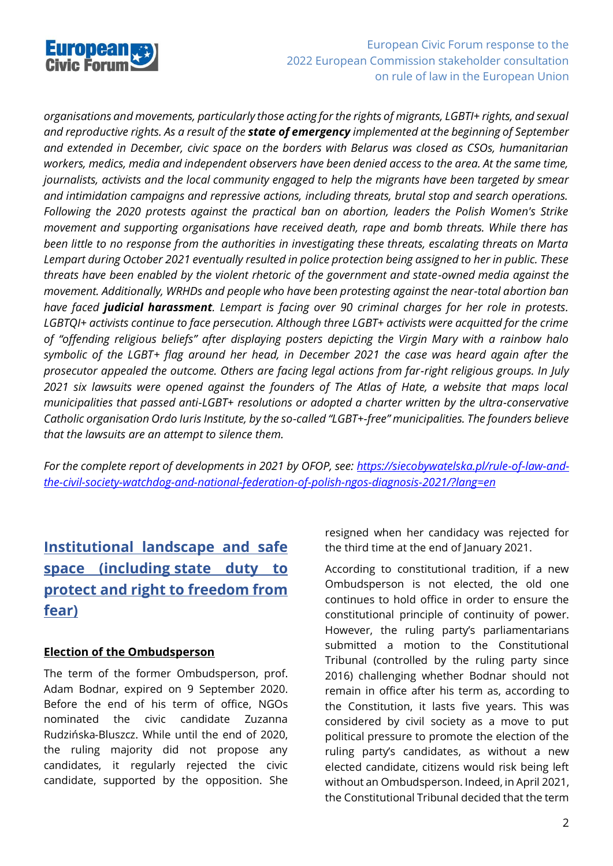

*organisations and movements, particularly those acting for the rights of migrants, LGBTI+ rights, and sexual and reproductive rights. As a result of the state of emergency implemented at the beginning of September and extended in December, civic space on the borders with Belarus was closed as CSOs, humanitarian workers, medics, media and independent observers have been denied access to the area. At the same time, journalists, activists and the local community engaged to help the migrants have been targeted by smear and intimidation campaigns and repressive actions, including threats, brutal stop and search operations. Following the 2020 protests against the practical ban on abortion, leaders the Polish Women's Strike movement and supporting organisations have received death, rape and bomb threats. While there has been little to no response from the authorities in investigating these threats, escalating threats on Marta Lempart during October 2021 eventually resulted in police protection being assigned to her in public. These threats have been enabled by the violent rhetoric of the government and state-owned media against the movement. Additionally, WRHDs and people who have been protesting against the near-total abortion ban have faced judicial harassment. Lempart is facing over 90 criminal charges for her role in protests. LGBTQI+ activists continue to face persecution. Although three LGBT+ activists were acquitted for the crime of "offending religious beliefs" after displaying posters depicting the Virgin Mary with a rainbow halo symbolic of the LGBT+ flag around her head, in December 2021 the case was heard again after the prosecutor appealed the outcome. Others are facing legal actions from far-right religious groups. In July 2021 six lawsuits were opened against the founders of The Atlas of Hate, a website that maps local municipalities that passed anti-LGBT+ resolutions or adopted a charter written by the ultra-conservative Catholic organisation Ordo Iuris Institute, by the so-called "LGBT+-free" municipalities. The founders believe that the lawsuits are an attempt to silence them.*

*For the complete report of developments in 2021 by OFOP, see: [https://siecobywatelska.pl/rule-of-law-and](https://siecobywatelska.pl/rule-of-law-and-the-civil-society-watchdog-and-national-federation-of-polish-ngos-diagnosis-2021/?lang=en)[the-civil-society-watchdog-and-national-federation-of-polish-ngos-diagnosis-2021/?lang=en](https://siecobywatelska.pl/rule-of-law-and-the-civil-society-watchdog-and-national-federation-of-polish-ngos-diagnosis-2021/?lang=en)*

## **Institutional landscape and safe space (including state duty to protect and right to freedom from fear)**

#### **Election of the Ombudsperson**

The term of the former Ombudsperson, prof. Adam Bodnar, expired on 9 September 2020. Before the end of his term of office, NGOs nominated the civic candidate Zuzanna Rudzińska-Bluszcz. While until the end of 2020, the ruling majority did not propose any candidates, it regularly rejected the civic candidate, supported by the opposition. She

resigned when her candidacy was rejected for the third time at the end of January 2021.

According to constitutional tradition, if a new Ombudsperson is not elected, the old one continues to hold office in order to ensure the constitutional principle of continuity of power. However, the ruling party's parliamentarians submitted a motion to the Constitutional Tribunal (controlled by the ruling party since 2016) challenging whether Bodnar should not remain in office after his term as, according to the Constitution, it lasts five years. This was considered by civil society as a move to put political pressure to promote the election of the ruling party's candidates, as without a new elected candidate, citizens would risk being left without an Ombudsperson. Indeed, in April 2021, the Constitutional Tribunal decided that the term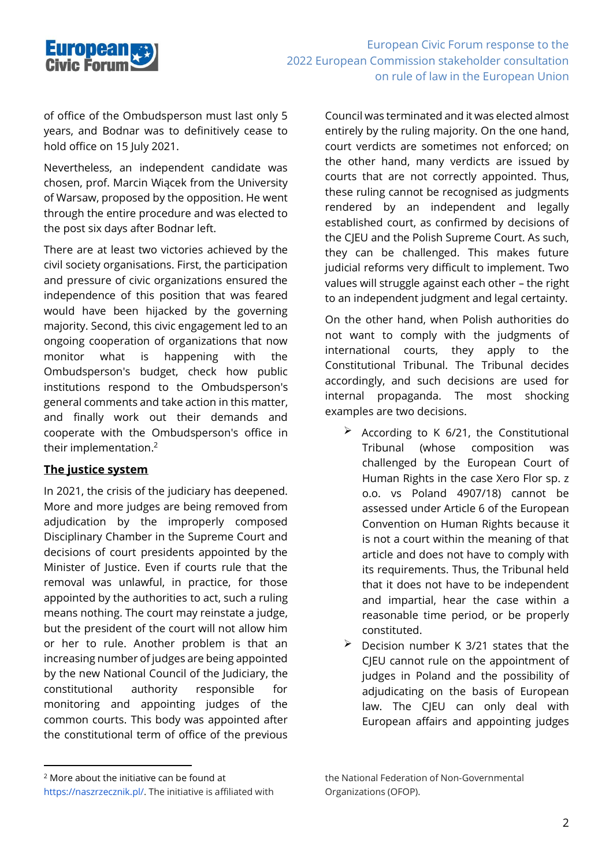

of office of the Ombudsperson must last only 5 years, and Bodnar was to definitively cease to hold office on 15 July 2021.

Nevertheless, an independent candidate was chosen, prof. Marcin Wiącek from the University of Warsaw, proposed by the opposition. He went through the entire procedure and was elected to the post six days after Bodnar left.

There are at least two victories achieved by the civil society organisations. First, the participation and pressure of civic organizations ensured the independence of this position that was feared would have been hijacked by the governing majority. Second, this civic engagement led to an ongoing cooperation of organizations that now monitor what is happening with the Ombudsperson's budget, check how public institutions respond to the Ombudsperson's general comments and take action in this matter, and finally work out their demands and cooperate with the Ombudsperson's office in their implementation. 2

#### **The justice system**

In 2021, the crisis of the judiciary has deepened. More and more judges are being removed from adjudication by the improperly composed Disciplinary Chamber in the Supreme Court and decisions of court presidents appointed by the Minister of Justice. Even if courts rule that the removal was unlawful, in practice, for those appointed by the authorities to act, such a ruling means nothing. The court may reinstate a judge, but the president of the court will not allow him or her to rule. Another problem is that an increasing number of judges are being appointed by the new National Council of the Judiciary, the constitutional authority responsible for monitoring and appointing judges of the common courts. This body was appointed after the constitutional term of office of the previous

Council was terminated and it was elected almost entirely by the ruling majority. On the one hand, court verdicts are sometimes not enforced; on the other hand, many verdicts are issued by courts that are not correctly appointed. Thus, these ruling cannot be recognised as judgments rendered by an independent and legally established court, as confirmed by decisions of the CJEU and the Polish Supreme Court. As such, they can be challenged. This makes future judicial reforms very difficult to implement. Two values will struggle against each other – the right to an independent judgment and legal certainty.

On the other hand, when Polish authorities do not want to comply with the judgments of international courts, they apply to the Constitutional Tribunal. The Tribunal decides accordingly, and such decisions are used for internal propaganda. The most shocking examples are two decisions.

- $\geq$  According to K 6/21, the Constitutional Tribunal (whose composition was challenged by the European Court of Human Rights in the case Xero Flor sp. z o.o. vs Poland 4907/18) cannot be assessed under Article 6 of the European Convention on Human Rights because it is not a court within the meaning of that article and does not have to comply with its requirements. Thus, the Tribunal held that it does not have to be independent and impartial, hear the case within a reasonable time period, or be properly constituted.
- $\geq$  Decision number K 3/21 states that the CJEU cannot rule on the appointment of judges in Poland and the possibility of adjudicating on the basis of European law. The CJEU can only deal with European affairs and appointing judges

<sup>2</sup> More about the initiative can be found at

https://naszrzecznik.pl/. The initiative is affiliated with

the National Federation of Non-Governmental Organizations (OFOP).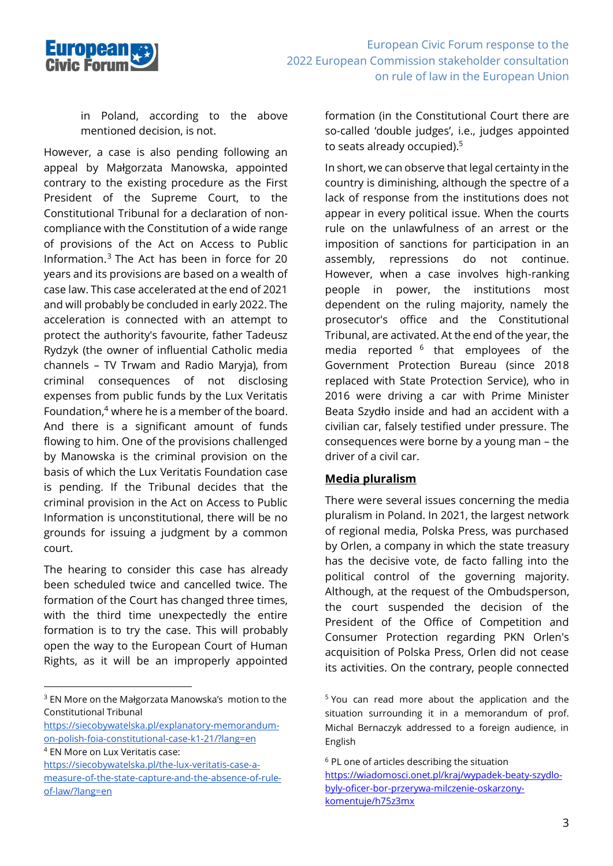

in Poland, according to the above mentioned decision, is not.

However, a case is also pending following an appeal by Małgorzata Manowska, appointed contrary to the existing procedure as the First President of the Supreme Court, to the Constitutional Tribunal for a declaration of noncompliance with the Constitution of a wide range of provisions of the Act on Access to Public Information. <sup>3</sup> The Act has been in force for 20 years and its provisions are based on a wealth of case law. This case accelerated at the end of 2021 and will probably be concluded in early 2022. The acceleration is connected with an attempt to protect the authority's favourite, father Tadeusz Rydzyk (the owner of influential Catholic media channels – TV Trwam and Radio Maryja), from criminal consequences of not disclosing expenses from public funds by the Lux Veritatis Foundation, <sup>4</sup> where he is a member of the board. And there is a significant amount of funds flowing to him. One of the provisions challenged by Manowska is the criminal provision on the basis of which the Lux Veritatis Foundation case is pending. If the Tribunal decides that the criminal provision in the Act on Access to Public Information is unconstitutional, there will be no grounds for issuing a judgment by a common court.

The hearing to consider this case has already been scheduled twice and cancelled twice. The formation of the Court has changed three times, with the third time unexpectedly the entire formation is to try the case. This will probably open the way to the European Court of Human Rights, as it will be an improperly appointed formation (in the Constitutional Court there are so-called 'double judges', i.e., judges appointed to seats already occupied). 5

In short, we can observe that legal certainty in the country is diminishing, although the spectre of a lack of response from the institutions does not appear in every political issue. When the courts rule on the unlawfulness of an arrest or the imposition of sanctions for participation in an assembly, repressions do not continue. However, when a case involves high-ranking people in power, the institutions most dependent on the ruling majority, namely the prosecutor's office and the Constitutional Tribunal, are activated. At the end of the year, the media reported  $6$  that employees of the Government Protection Bureau (since 2018 replaced with State Protection Service), who in 2016 were driving a car with Prime Minister Beata Szydło inside and had an accident with a civilian car, falsely testified under pressure. The consequences were borne by a young man – the driver of a civil car.

#### **Media pluralism**

There were several issues concerning the media pluralism in Poland. In 2021, the largest network of regional media, Polska Press, was purchased by Orlen, a company in which the state treasury has the decisive vote, de facto falling into the political control of the governing majority. Although, at the request of the Ombudsperson, the court suspended the decision of the President of the Office of Competition and Consumer Protection regarding PKN Orlen's acquisition of Polska Press, Orlen did not cease its activities. On the contrary, people connected

<sup>3</sup> EN More on the Małgorzata Manowska's motion to the Constitutional Tribunal

[https://siecobywatelska.pl/explanatory-memorandum](https://siecobywatelska.pl/explanatory-memorandum-on-polish-foia-constitutional-case-k1-21/?lang=en)[on-polish-foia-constitutional-case-k1-21/?lang=en](https://siecobywatelska.pl/explanatory-memorandum-on-polish-foia-constitutional-case-k1-21/?lang=en)

<sup>4</sup> EN More on Lux Veritatis case:

[https://siecobywatelska.pl/the-lux-veritatis-case-a](https://siecobywatelska.pl/the-lux-veritatis-case-a-measure-of-the-state-capture-and-the-absence-of-rule-of-law/?lang=en)[measure-of-the-state-capture-and-the-absence-of-rule](https://siecobywatelska.pl/the-lux-veritatis-case-a-measure-of-the-state-capture-and-the-absence-of-rule-of-law/?lang=en)[of-law/?lang=en](https://siecobywatelska.pl/the-lux-veritatis-case-a-measure-of-the-state-capture-and-the-absence-of-rule-of-law/?lang=en)

<sup>5</sup> You can read more about the application and the situation surrounding it in a memorandum of prof. Michal Bernaczyk addressed to a foreign audience, in English

<sup>&</sup>lt;sup>6</sup> PL one of articles describing the situation [https://wiadomosci.onet.pl/kraj/wypadek-beaty-szydlo](https://wiadomosci.onet.pl/kraj/wypadek-beaty-szydlo-byly-oficer-bor-przerywa-milczenie-oskarzony-komentuje/h75z3mx)[byly-oficer-bor-przerywa-milczenie-oskarzony](https://wiadomosci.onet.pl/kraj/wypadek-beaty-szydlo-byly-oficer-bor-przerywa-milczenie-oskarzony-komentuje/h75z3mx)[komentuje/h75z3mx](https://wiadomosci.onet.pl/kraj/wypadek-beaty-szydlo-byly-oficer-bor-przerywa-milczenie-oskarzony-komentuje/h75z3mx)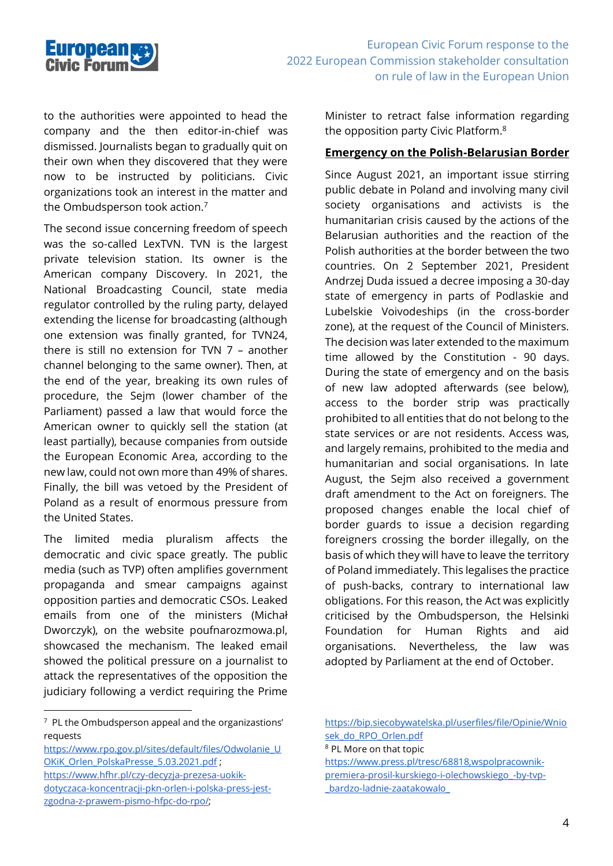

to the authorities were appointed to head the company and the then editor-in-chief was dismissed. Journalists began to gradually quit on their own when they discovered that they were now to be instructed by politicians. Civic organizations took an interest in the matter and the Ombudsperson took action. 7

The second issue concerning freedom of speech was the so-called LexTVN. TVN is the largest private television station. Its owner is the American company Discovery. In 2021, the National Broadcasting Council, state media regulator controlled by the ruling party, delayed extending the license for broadcasting (although one extension was finally granted, for TVN24, there is still no extension for TVN 7 – another channel belonging to the same owner). Then, at the end of the year, breaking its own rules of procedure, the Sejm (lower chamber of the Parliament) passed a law that would force the American owner to quickly sell the station (at least partially), because companies from outside the European Economic Area, according to the new law, could not own more than 49% of shares. Finally, the bill was vetoed by the President of Poland as a result of enormous pressure from the United States.

The limited media pluralism affects the democratic and civic space greatly. The public media (such as TVP) often amplifies government propaganda and smear campaigns against opposition parties and democratic CSOs. Leaked emails from one of the ministers (Michał Dworczyk), on the website poufnarozmowa.pl, showcased the mechanism. The leaked email showed the political pressure on a journalist to attack the representatives of the opposition the judiciary following a verdict requiring the Prime

Minister to retract false information regarding the opposition party Civic Platform.<sup>8</sup>

#### **Emergency on the Polish-Belarusian Border**

Since August 2021, an important issue stirring public debate in Poland and involving many civil society organisations and activists is the humanitarian crisis caused by the actions of the Belarusian authorities and the reaction of the Polish authorities at the border between the two countries. On 2 September 2021, President Andrzej Duda issued a decree imposing a 30-day state of emergency in parts of Podlaskie and Lubelskie Voivodeships (in the cross-border zone), at the request of the Council of Ministers. The decision was later extended to the maximum time allowed by the Constitution - 90 days. During the state of emergency and on the basis of new law adopted afterwards (see below), access to the border strip was practically prohibited to all entities that do not belong to the state services or are not residents. Access was, and largely remains, prohibited to the media and humanitarian and social organisations. In late August, the Sejm also received a government draft amendment to the Act on foreigners. The proposed changes enable the local chief of border guards to issue a decision regarding foreigners crossing the border illegally, on the basis of which they will have to leave the territory of Poland immediately. This legalises the practice of push-backs, contrary to international law obligations. For this reason, the Act was explicitly criticised by the Ombudsperson, the Helsinki Foundation for Human Rights and aid organisations. Nevertheless, the law was adopted by Parliament at the end of October.

- [https://www.hfhr.pl/czy-decyzja-prezesa-uokik](https://www.hfhr.pl/czy-decyzja-prezesa-uokik-dotyczaca-koncentracji-pkn-orlen-i-polska-press-jest-zgodna-z-prawem-pismo-hfpc-do-rpo/)[dotyczaca-koncentracji-pkn-orlen-i-polska-press-jest](https://www.hfhr.pl/czy-decyzja-prezesa-uokik-dotyczaca-koncentracji-pkn-orlen-i-polska-press-jest-zgodna-z-prawem-pismo-hfpc-do-rpo/)[zgodna-z-prawem-pismo-hfpc-do-rpo/;](https://www.hfhr.pl/czy-decyzja-prezesa-uokik-dotyczaca-koncentracji-pkn-orlen-i-polska-press-jest-zgodna-z-prawem-pismo-hfpc-do-rpo/)
- [https://bip.siecobywatelska.pl/userfiles/file/Opinie/Wnio](https://bip.siecobywatelska.pl/userfiles/file/Opinie/Wniosek_do_RPO_Orlen.pdf) sek do RPO Orlen.pdf

[https://www.press.pl/tresc/68818,wspolpracownik](https://www.press.pl/tresc/68818,wspolpracownik-premiera-prosil-kurskiego-i-olechowskiego_-by-tvp-_bardzo-ladnie-zaatakowalo_)[premiera-prosil-kurskiego-i-olechowskiego\\_-by-tvp-](https://www.press.pl/tresc/68818,wspolpracownik-premiera-prosil-kurskiego-i-olechowskiego_-by-tvp-_bardzo-ladnie-zaatakowalo_) [\\_bardzo-ladnie-zaatakowalo\\_](https://www.press.pl/tresc/68818,wspolpracownik-premiera-prosil-kurskiego-i-olechowskiego_-by-tvp-_bardzo-ladnie-zaatakowalo_)

<sup>7</sup> PL the Ombudsperson appeal and the organizastions' requests

[https://www.rpo.gov.pl/sites/default/files/Odwolanie\\_U](https://www.rpo.gov.pl/sites/default/files/Odwolanie_UOKiK_Orlen_PolskaPresse_5.03.2021.pdf) OKiK Orlen PolskaPresse 5.03.2021.pdf ;

<sup>8</sup> PL More on that topic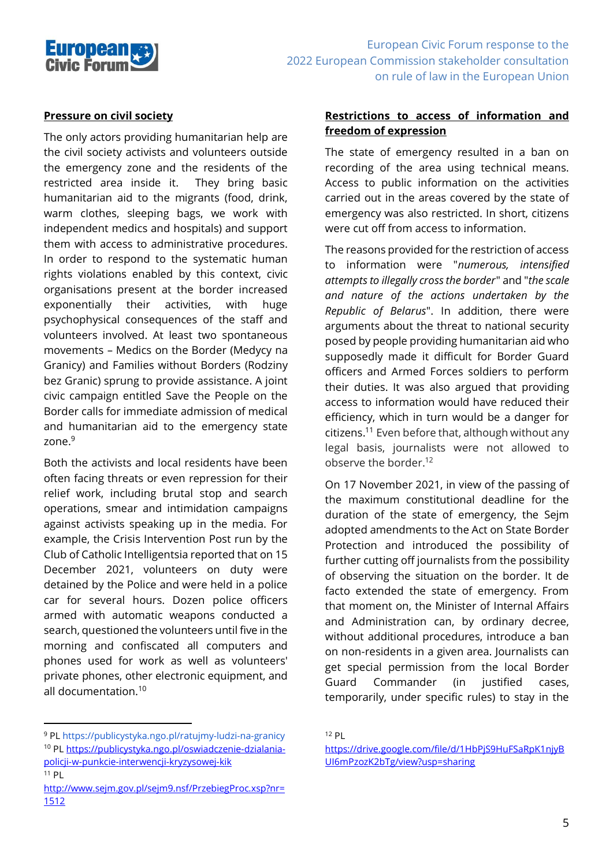

#### **Pressure on civil society**

The only actors providing humanitarian help are the civil society activists and volunteers outside the emergency zone and the residents of the restricted area inside it. They bring basic humanitarian aid to the migrants (food, drink, warm clothes, sleeping bags, we work with independent medics and hospitals) and support them with access to administrative procedures. In order to respond to the systematic human rights violations enabled by this context, civic organisations present at the border increased exponentially their activities, with huge psychophysical consequences of the staff and volunteers involved. At least two spontaneous movements – Medics on the Border (Medycy na Granicy) and Families without Borders (Rodziny bez Granic) sprung to provide assistance. A joint civic campaign entitled Save the People on the Border calls for immediate admission of medical and humanitarian aid to the emergency state zone. 9

Both the activists and local residents have been often facing threats or even repression for their relief work, including brutal stop and search operations, smear and intimidation campaigns against activists speaking up in the media. For example, the Crisis Intervention Post run by the Club of Catholic Intelligentsia reported that on 15 December 2021, volunteers on duty were detained by the Police and were held in a police car for several hours. Dozen police officers armed with automatic weapons conducted a search, questioned the volunteers until five in the morning and confiscated all computers and phones used for work as well as volunteers' private phones, other electronic equipment, and all documentation.<sup>10</sup>

#### **Restrictions to access of information and freedom of expression**

The state of emergency resulted in a ban on recording of the area using technical means. Access to public information on the activities carried out in the areas covered by the state of emergency was also restricted. In short, citizens were cut off from access to information.

The reasons provided for the restriction of access to information were "*numerous, intensified attempts to illegally cross the border*" and "*the scale and nature of the actions undertaken by the Republic of Belarus*". In addition, there were arguments about the threat to national security posed by people providing humanitarian aid who supposedly made it difficult for Border Guard officers and Armed Forces soldiers to perform their duties. It was also argued that providing access to information would have reduced their efficiency, which in turn would be a danger for citizens. <sup>11</sup> Even before that, although without any legal basis, journalists were not allowed to observe the border. 12

On 17 November 2021, in view of the passing of the maximum constitutional deadline for the duration of the state of emergency, the Sejm adopted amendments to the Act on State Border Protection and introduced the possibility of further cutting off journalists from the possibility of observing the situation on the border. It de facto extended the state of emergency. From that moment on, the Minister of Internal Affairs and Administration can, by ordinary decree, without additional procedures, introduce a ban on non-residents in a given area. Journalists can get special permission from the local Border Guard Commander (in justified cases, temporarily, under specific rules) to stay in the

<sup>9</sup> PL https://publicystyka.ngo.pl/ratujmy-ludzi-na-granicy <sup>10</sup> PL [https://publicystyka.ngo.pl/oswiadczenie-dzialania](https://publicystyka.ngo.pl/oswiadczenie-dzialania-policji-w-punkcie-interwencji-kryzysowej-kik)[policji-w-punkcie-interwencji-kryzysowej-kik](https://publicystyka.ngo.pl/oswiadczenie-dzialania-policji-w-punkcie-interwencji-kryzysowej-kik)

 $11$  PL [http://www.sejm.gov.pl/sejm9.nsf/PrzebiegProc.xsp?nr=](http://www.sejm.gov.pl/sejm9.nsf/PrzebiegProc.xsp?nr=1512) [1512](http://www.sejm.gov.pl/sejm9.nsf/PrzebiegProc.xsp?nr=1512)

<sup>12</sup> PL

[https://drive.google.com/file/d/1HbPjS9HuFSaRpK1njyB](https://drive.google.com/file/d/1HbPjS9HuFSaRpK1njyBUI6mPzozK2bTg/view?usp=sharing) [UI6mPzozK2bTg/view?usp=sharing](https://drive.google.com/file/d/1HbPjS9HuFSaRpK1njyBUI6mPzozK2bTg/view?usp=sharing)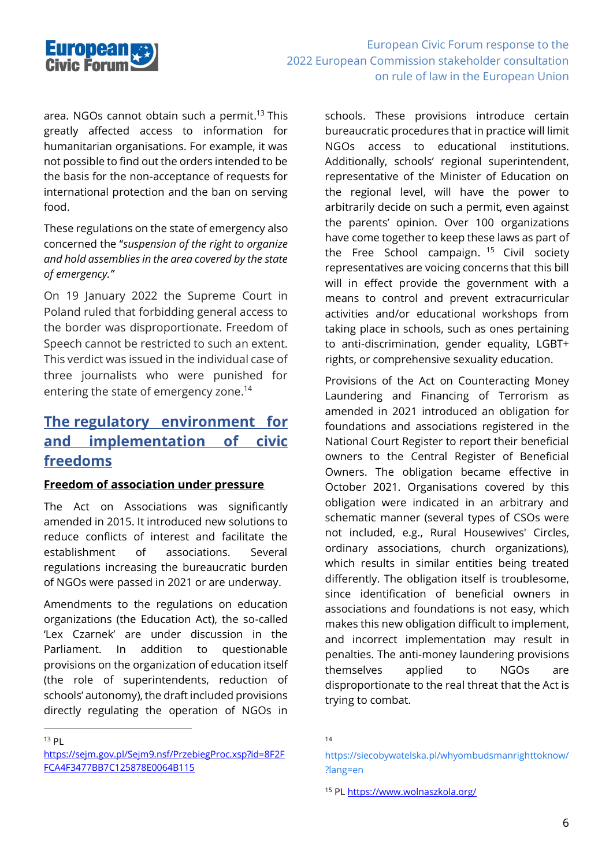

area. NGOs cannot obtain such a permit. <sup>13</sup> This greatly affected access to information for humanitarian organisations. For example, it was not possible to find out the orders intended to be the basis for the non-acceptance of requests for international protection and the ban on serving food.

These regulations on the state of emergency also concerned the "*suspension of the right to organize and hold assemblies in the area covered by the state of emergency."*

On 19 January 2022 the Supreme Court in Poland ruled that forbidding general access to the border was disproportionate. Freedom of Speech cannot be restricted to such an extent. This verdict was issued in the individual case of three journalists who were punished for entering the state of emergency zone. 14

### **The regulatory environment for and implementation of civic freedoms**

#### **Freedom of association under pressure**

The Act on Associations was significantly amended in 2015. It introduced new solutions to reduce conflicts of interest and facilitate the establishment of associations. Several regulations increasing the bureaucratic burden of NGOs were passed in 2021 or are underway.

Amendments to the regulations on education organizations (the Education Act), the so-called 'Lex Czarnek' are under discussion in the Parliament. In addition to questionable provisions on the organization of education itself (the role of superintendents, reduction of schools' autonomy), the draft included provisions directly regulating the operation of NGOs in

 $13$  Pl

schools. These provisions introduce certain bureaucratic procedures that in practice will limit NGOs access to educational institutions. Additionally, schools' regional superintendent, representative of the Minister of Education on the regional level, will have the power to arbitrarily decide on such a permit, even against the parents' opinion. Over 100 organizations have come together to keep these laws as part of the Free School campaign.<sup>15</sup> Civil society representatives are voicing concerns that this bill will in effect provide the government with a means to control and prevent extracurricular activities and/or educational workshops from taking place in schools, such as ones pertaining to anti-discrimination, gender equality, LGBT+ rights, or comprehensive sexuality education.

Provisions of the Act on Counteracting Money Laundering and Financing of Terrorism as amended in 2021 introduced an obligation for foundations and associations registered in the National Court Register to report their beneficial owners to the Central Register of Beneficial Owners. The obligation became effective in October 2021. Organisations covered by this obligation were indicated in an arbitrary and schematic manner (several types of CSOs were not included, e.g., Rural Housewives' Circles, ordinary associations, church organizations), which results in similar entities being treated differently. The obligation itself is troublesome, since identification of beneficial owners in associations and foundations is not easy, which makes this new obligation difficult to implement, and incorrect implementation may result in penalties. The anti-money laundering provisions themselves applied to NGOs are disproportionate to the real threat that the Act is trying to combat.

[https://sejm.gov.pl/Sejm9.nsf/PrzebiegProc.xsp?id=8F2F](https://sejm.gov.pl/Sejm9.nsf/PrzebiegProc.xsp?id=8F2FFCA4F3477BB7C125878E0064B115) [FCA4F3477BB7C125878E0064B115](https://sejm.gov.pl/Sejm9.nsf/PrzebiegProc.xsp?id=8F2FFCA4F3477BB7C125878E0064B115)

<sup>14</sup>

[https://siecobywatelska.pl/whyombudsmanrighttoknow/](https://siecobywatelska.pl/whyombudsmanrighttoknow/?lang=en) [?lang=en](https://siecobywatelska.pl/whyombudsmanrighttoknow/?lang=en)

<sup>15</sup> P[L https://www.wolnaszkola.org/](https://www.wolnaszkola.org/)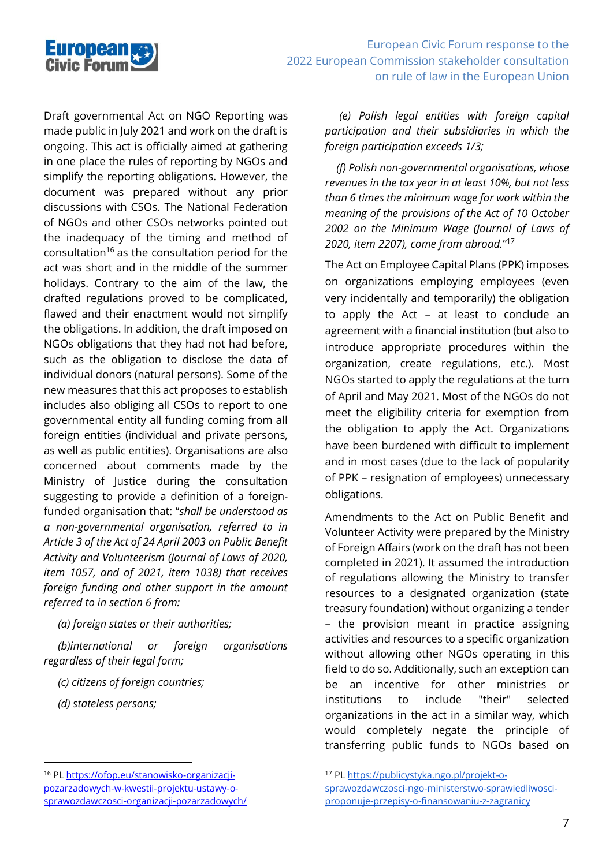

Draft governmental Act on NGO Reporting was made public in July 2021 and work on the draft is ongoing. This act is officially aimed at gathering in one place the rules of reporting by NGOs and simplify the reporting obligations. However, the document was prepared without any prior discussions with CSOs. The National Federation of NGOs and other CSOs networks pointed out the inadequacy of the timing and method of consultation<sup>16</sup> as the consultation period for the act was short and in the middle of the summer holidays. Contrary to the aim of the law, the drafted regulations proved to be complicated, flawed and their enactment would not simplify the obligations. In addition, the draft imposed on NGOs obligations that they had not had before, such as the obligation to disclose the data of individual donors (natural persons). Some of the new measures that this act proposes to establish includes also obliging all CSOs to report to one governmental entity all funding coming from all foreign entities (individual and private persons, as well as public entities). Organisations are also concerned about comments made by the Ministry of Justice during the consultation suggesting to provide a definition of a foreignfunded organisation that: "*shall be understood as a non-governmental organisation, referred to in Article 3 of the Act of 24 April 2003 on Public Benefit Activity and Volunteerism (Journal of Laws of 2020, item 1057, and of 2021, item 1038) that receives foreign funding and other support in the amount referred to in section 6 from:*

 *(a) foreign states or their authorities;*

 *(b)international or foreign organisations regardless of their legal form;*

 *(c) citizens of foreign countries;*

 *(d) stateless persons;*

 *(e) Polish legal entities with foreign capital participation and their subsidiaries in which the foreign participation exceeds 1/3;*

 *(f) Polish non-governmental organisations, whose revenues in the tax year in at least 10%, but not less than 6 times the minimum wage for work within the meaning of the provisions of the Act of 10 October 2002 on the Minimum Wage (Journal of Laws of 2020, item 2207), come from abroad.*" 17

The Act on Employee Capital Plans (PPK) imposes on organizations employing employees (even very incidentally and temporarily) the obligation to apply the Act – at least to conclude an agreement with a financial institution (but also to introduce appropriate procedures within the organization, create regulations, etc.). Most NGOs started to apply the regulations at the turn of April and May 2021. Most of the NGOs do not meet the eligibility criteria for exemption from the obligation to apply the Act. Organizations have been burdened with difficult to implement and in most cases (due to the lack of popularity of PPK – resignation of employees) unnecessary obligations.

Amendments to the Act on Public Benefit and Volunteer Activity were prepared by the Ministry of Foreign Affairs (work on the draft has not been completed in 2021). It assumed the introduction of regulations allowing the Ministry to transfer resources to a designated organization (state treasury foundation) without organizing a tender – the provision meant in practice assigning activities and resources to a specific organization without allowing other NGOs operating in this field to do so. Additionally, such an exception can be an incentive for other ministries or institutions to include "their" selected organizations in the act in a similar way, which would completely negate the principle of transferring public funds to NGOs based on

<sup>16</sup> PL [https://ofop.eu/stanowisko-organizacji](https://ofop.eu/stanowisko-organizacji-pozarzadowych-w-kwestii-projektu-ustawy-o-sprawozdawczosci-organizacji-pozarzadowych/)[pozarzadowych-w-kwestii-projektu-ustawy-o](https://ofop.eu/stanowisko-organizacji-pozarzadowych-w-kwestii-projektu-ustawy-o-sprawozdawczosci-organizacji-pozarzadowych/)[sprawozdawczosci-organizacji-pozarzadowych/](https://ofop.eu/stanowisko-organizacji-pozarzadowych-w-kwestii-projektu-ustawy-o-sprawozdawczosci-organizacji-pozarzadowych/)

<sup>17</sup> P[L https://publicystyka.ngo.pl/projekt-o-](https://publicystyka.ngo.pl/projekt-o-sprawozdawczosci-ngo-ministerstwo-sprawiedliwosci-proponuje-przepisy-o-finansowaniu-z-zagranicy)

[sprawozdawczosci-ngo-ministerstwo-sprawiedliwosci](https://publicystyka.ngo.pl/projekt-o-sprawozdawczosci-ngo-ministerstwo-sprawiedliwosci-proponuje-przepisy-o-finansowaniu-z-zagranicy)[proponuje-przepisy-o-finansowaniu-z-zagranicy](https://publicystyka.ngo.pl/projekt-o-sprawozdawczosci-ngo-ministerstwo-sprawiedliwosci-proponuje-przepisy-o-finansowaniu-z-zagranicy)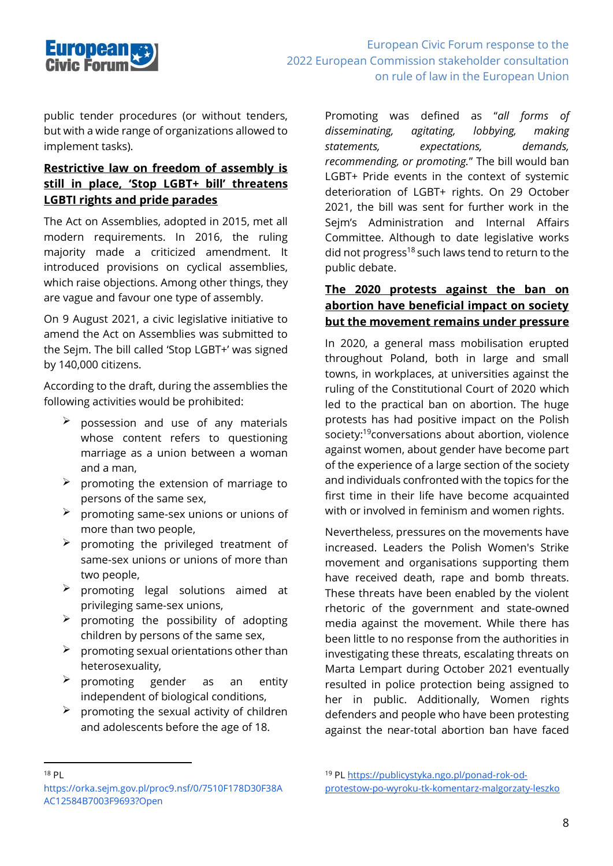

public tender procedures (or without tenders, but with a wide range of organizations allowed to implement tasks).

#### **Restrictive law on freedom of assembly is still in place, 'Stop LGBT+ bill' threatens LGBTI rights and pride parades**

The Act on Assemblies, adopted in 2015, met all modern requirements. In 2016, the ruling majority made a criticized amendment. It introduced provisions on cyclical assemblies, which raise objections. Among other things, they are vague and favour one type of assembly.

On 9 August 2021, a civic legislative initiative to amend the Act on Assemblies was submitted to the Sejm. The bill called 'Stop LGBT+' was signed by 140,000 citizens.

According to the draft, during the assemblies the following activities would be prohibited:

- $\geq$  possession and use of any materials whose content refers to questioning marriage as a union between a woman and a man,
- $\triangleright$  promoting the extension of marriage to persons of the same sex,
- ➢ promoting same-sex unions or unions of more than two people,
- $\triangleright$  promoting the privileged treatment of same-sex unions or unions of more than two people,
- $\triangleright$  promoting legal solutions aimed at privileging same-sex unions,
- $\triangleright$  promoting the possibility of adopting children by persons of the same sex,
- $\triangleright$  promoting sexual orientations other than heterosexuality,
- $\triangleright$  promoting gender as an entity independent of biological conditions,
- $\triangleright$  promoting the sexual activity of children and adolescents before the age of 18.

Promoting was defined as "*all forms of disseminating, agitating, lobbying, making statements, expectations, demands, recommending, or promoting.*" The bill would ban LGBT+ Pride events in the context of systemic deterioration of LGBT+ rights. On 29 October 2021, the bill was sent for further work in the Sejm's Administration and Internal Affairs Committee. Although to date legislative works did not progress<sup>18</sup> such laws tend to return to the public debate.

#### **The 2020 protests against the ban on abortion have beneficial impact on society but the movement remains under pressure**

In 2020, a general mass mobilisation erupted throughout Poland, both in large and small towns, in workplaces, at universities against the ruling of the Constitutional Court of 2020 which led to the practical ban on abortion. The huge protests has had positive impact on the Polish society: <sup>19</sup>conversations about abortion, violence against women, about gender have become part of the experience of a large section of the society and individuals confronted with the topics for the first time in their life have become acquainted with or involved in feminism and women rights.

Nevertheless, pressures on the movements have increased. Leaders the Polish Women's Strike movement and organisations supporting them have received death, rape and bomb threats. These threats have been enabled by the violent rhetoric of the government and state-owned media against the movement. While there has been little to no response from the authorities in investigating these threats, escalating threats on Marta Lempart during October 2021 eventually resulted in police protection being assigned to her in public. Additionally, Women rights defenders and people who have been protesting against the near-total abortion ban have faced

 $18$  Pl

https://orka.sejm.gov.pl/proc9.nsf/0/7510F178D30F38A AC12584B7003F9693?Open

<sup>19</sup> P[L https://publicystyka.ngo.pl/ponad-rok-od](https://publicystyka.ngo.pl/ponad-rok-od-protestow-po-wyroku-tk-komentarz-malgorzaty-leszko)[protestow-po-wyroku-tk-komentarz-malgorzaty-leszko](https://publicystyka.ngo.pl/ponad-rok-od-protestow-po-wyroku-tk-komentarz-malgorzaty-leszko)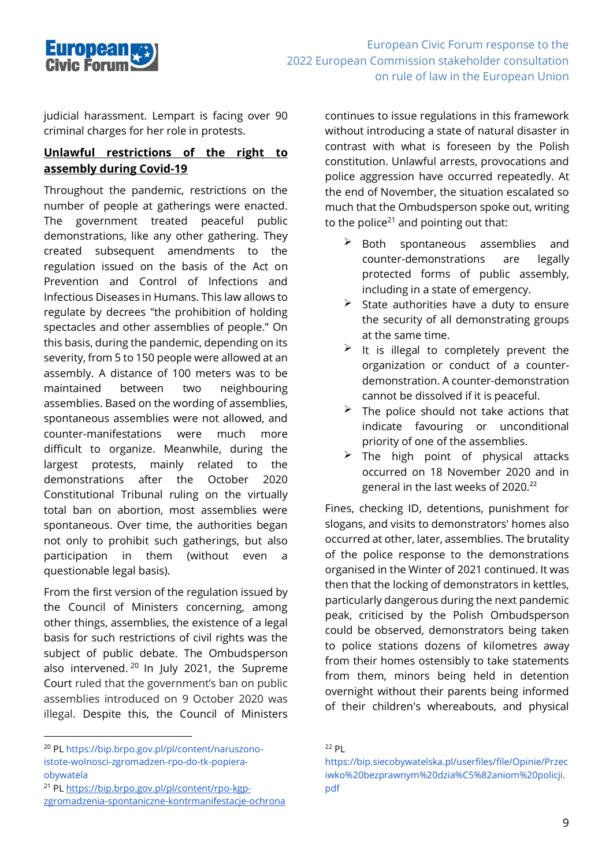

judicial harassment. Lempart is facing over 90 criminal charges for her role in protests.

#### **Unlawful restrictions of the right to assembly during Covid-19**

Throughout the pandemic, restrictions on the number of people at gatherings were enacted. The government treated peaceful public demonstrations, like any other gathering. They created subsequent amendments to the regulation issued on the basis of the Act on Prevention and Control of Infections and Infectious Diseases in Humans. This law allows to regulate by decrees "the prohibition of holding spectacles and other assemblies of people." On this basis, during the pandemic, depending on its severity, from 5 to 150 people were allowed at an assembly. A distance of 100 meters was to be maintained between two neighbouring assemblies. Based on the wording of assemblies, spontaneous assemblies were not allowed, and counter-manifestations were much more difficult to organize. Meanwhile, during the largest protests, mainly related to the demonstrations after the October 2020 Constitutional Tribunal ruling on the virtually total ban on abortion, most assemblies were spontaneous. Over time, the authorities began not only to prohibit such gatherings, but also participation in them (without even a questionable legal basis).

From the first version of the regulation issued by the Council of Ministers concerning, among other things, assemblies, the existence of a legal basis for such restrictions of civil rights was the subject of public debate. The Ombudsperson also intervened.<sup>20</sup> In July 2021, the Supreme Court ruled that the government's ban on public assemblies introduced on 9 October 2020 was illegal. Despite this, the Council of Ministers continues to issue regulations in this framework without introducing a state of natural disaster in contrast with what is foreseen by the Polish constitution. Unlawful arrests, provocations and police aggression have occurred repeatedly. At the end of November, the situation escalated so much that the Ombudsperson spoke out, writing to the police<sup>21</sup> and pointing out that:

- $\triangleright$  Both spontaneous assemblies and counter-demonstrations are legally protected forms of public assembly, including in a state of emergency.
- $\triangleright$  State authorities have a duty to ensure the security of all demonstrating groups at the same time.
- $\triangleright$  It is illegal to completely prevent the organization or conduct of a counterdemonstration. A counter-demonstration cannot be dissolved if it is peaceful.
- $\triangleright$  The police should not take actions that indicate favouring or unconditional priority of one of the assemblies.
- $\triangleright$  The high point of physical attacks occurred on 18 November 2020 and in general in the last weeks of 2020.<sup>22</sup>

Fines, checking ID, detentions, punishment for slogans, and visits to demonstrators' homes also occurred at other, later, assemblies. The brutality of the police response to the demonstrations organised in the Winter of 2021 continued. It was then that the locking of demonstrators in kettles, particularly dangerous during the next pandemic peak, criticised by the Polish Ombudsperson could be observed, demonstrators being taken to police stations dozens of kilometres away from their homes ostensibly to take statements from them, minors being held in detention overnight without their parents being informed of their children's whereabouts, and physical

<sup>20</sup> PL https://bip.brpo.gov.pl/pl/content/naruszonoistote-wolnosci-zgromadzen-rpo-do-tk-popieraobywatela

<sup>21</sup> PL [https://bip.brpo.gov.pl/pl/content/rpo-kgp](https://bip.brpo.gov.pl/pl/content/rpo-kgp-zgromadzenia-spontaniczne-kontrmanifestacje-ochrona)[zgromadzenia-spontaniczne-kontrmanifestacje-ochrona](https://bip.brpo.gov.pl/pl/content/rpo-kgp-zgromadzenia-spontaniczne-kontrmanifestacje-ochrona)

<sup>22</sup> PL

https://bip.siecobywatelska.pl/userfiles/file/Opinie/Przec iwko%20bezprawnym%20dzia%C5%82aniom%20policji. pdf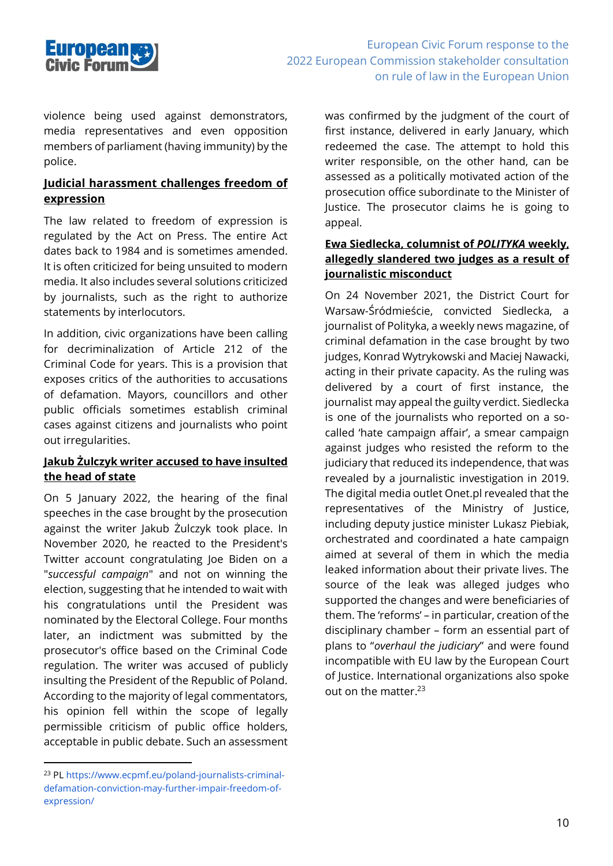

violence being used against demonstrators, media representatives and even opposition members of parliament (having immunity) by the police.

#### **Judicial harassment challenges freedom of expression**

The law related to freedom of expression is regulated by the Act on Press. The entire Act dates back to 1984 and is sometimes amended. It is often criticized for being unsuited to modern media. It also includes several solutions criticized by journalists, such as the right to authorize statements by interlocutors.

In addition, civic organizations have been calling for decriminalization of Article 212 of the Criminal Code for years. This is a provision that exposes critics of the authorities to accusations of defamation. Mayors, councillors and other public officials sometimes establish criminal cases against citizens and journalists who point out irregularities.

#### **Jakub Żulczyk writer accused to have insulted the head of state**

On 5 January 2022, the hearing of the final speeches in the case brought by the prosecution against the writer Jakub Żulczyk took place. In November 2020, he reacted to the President's Twitter account congratulating Joe Biden on a "*successful campaign*" and not on winning the election, suggesting that he intended to wait with his congratulations until the President was nominated by the Electoral College. Four months later, an indictment was submitted by the prosecutor's office based on the Criminal Code regulation. The writer was accused of publicly insulting the President of the Republic of Poland. According to the majority of legal commentators, his opinion fell within the scope of legally permissible criticism of public office holders, acceptable in public debate. Such an assessment

was confirmed by the judgment of the court of first instance, delivered in early January, which redeemed the case. The attempt to hold this writer responsible, on the other hand, can be assessed as a politically motivated action of the prosecution office subordinate to the Minister of Justice. The prosecutor claims he is going to appeal.

#### **Ewa Siedlecka, columnist of** *POLITYKA* **weekly, allegedly slandered two judges as a result of journalistic misconduct**

On 24 November 2021, the District Court for Warsaw-Śródmieście, convicted Siedlecka, a journalist of Polityka, a weekly news magazine, of criminal defamation in the case brought by two judges, Konrad Wytrykowski and Maciej Nawacki, acting in their private capacity. As the ruling was delivered by a court of first instance, the journalist may appeal the guilty verdict. Siedlecka is one of the journalists who reported on a socalled 'hate campaign affair', a smear campaign against judges who resisted the reform to the judiciary that reduced its independence, that was revealed by a journalistic investigation in 2019. The digital media outlet Onet.pl revealed that the representatives of the Ministry of Justice, including deputy justice minister Lukasz Piebiak, orchestrated and coordinated a hate campaign aimed at several of them in which the media leaked information about their private lives. The source of the leak was alleged judges who supported the changes and were beneficiaries of them. The 'reforms' – in particular, creation of the disciplinary chamber – form an essential part of plans to "*overhaul the judiciary*" and were found incompatible with EU law by the European Court of Justice. International organizations also spoke out on the matter. 23

<sup>23</sup> PL https://www.ecpmf.eu/poland-journalists-criminaldefamation-conviction-may-further-impair-freedom-ofexpression/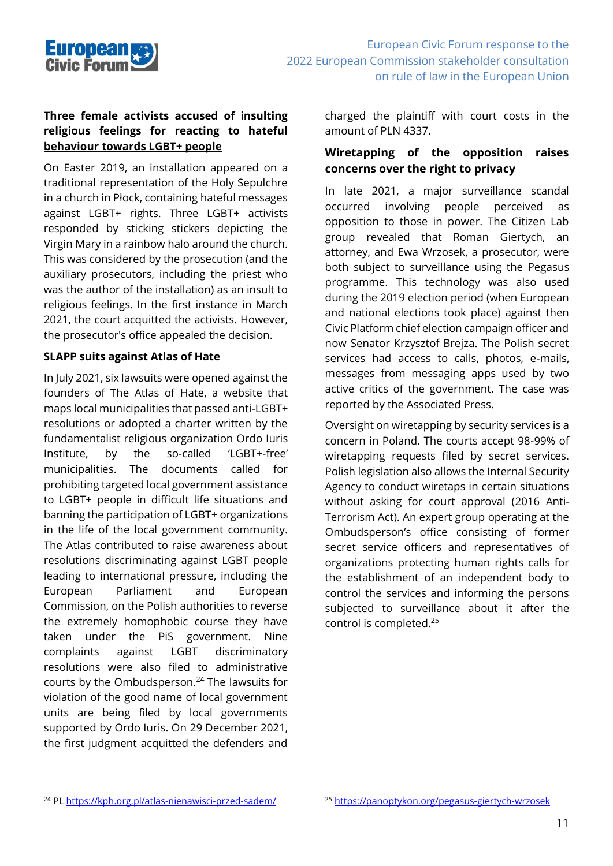

#### **Three female activists accused of insulting religious feelings for reacting to hateful behaviour towards LGBT+ people**

On Easter 2019, an installation appeared on a traditional representation of the Holy Sepulchre in a church in Płock, containing hateful messages against LGBT+ rights. Three LGBT+ activists responded by sticking stickers depicting the Virgin Mary in a rainbow halo around the church. This was considered by the prosecution (and the auxiliary prosecutors, including the priest who was the author of the installation) as an insult to religious feelings. In the first instance in March 2021, the court acquitted the activists. However, the prosecutor's office appealed the decision.

#### **SLAPP suits against Atlas of Hate**

In July 2021, six lawsuits were opened against the founders of The Atlas of Hate, a website that maps local municipalities that passed anti-LGBT+ resolutions or adopted a charter written by the fundamentalist religious organization Ordo Iuris Institute, by the so-called 'LGBT+-free' municipalities. The documents called for prohibiting targeted local government assistance to LGBT+ people in difficult life situations and banning the participation of LGBT+ organizations in the life of the local government community. The Atlas contributed to raise awareness about resolutions discriminating against LGBT people leading to international pressure, including the European Parliament and European Commission, on the Polish authorities to reverse the extremely homophobic course they have taken under the PiS government. Nine complaints against LGBT discriminatory resolutions were also filed to administrative courts by the Ombudsperson. <sup>24</sup> The lawsuits for violation of the good name of local government units are being filed by local governments supported by Ordo Iuris. On 29 December 2021, the first judgment acquitted the defenders and

charged the plaintiff with court costs in the amount of PLN 4337.

#### **Wiretapping of the opposition raises concerns over the right to privacy**

In late 2021, a major surveillance scandal occurred involving people perceived as opposition to those in power. The Citizen Lab group revealed that Roman Giertych, an attorney, and Ewa Wrzosek, a prosecutor, were both subject to surveillance using the Pegasus programme. This technology was also used during the 2019 election period (when European and national elections took place) against then Civic Platform chief election campaign officer and now Senator Krzysztof Brejza. The Polish secret services had access to calls, photos, e-mails, messages from messaging apps used by two active critics of the government. The case was reported by the Associated Press.

Oversight on wiretapping by security services is a concern in Poland. The courts accept 98-99% of wiretapping requests filed by secret services. Polish legislation also allows the Internal Security Agency to conduct wiretaps in certain situations without asking for court approval (2016 Anti-Terrorism Act). An expert group operating at the Ombudsperson's office consisting of former secret service officers and representatives of organizations protecting human rights calls for the establishment of an independent body to control the services and informing the persons subjected to surveillance about it after the control is completed. 25

<sup>24</sup> PL<https://kph.org.pl/atlas-nienawisci-przed-sadem/>

<sup>25</sup> <https://panoptykon.org/pegasus-giertych-wrzosek>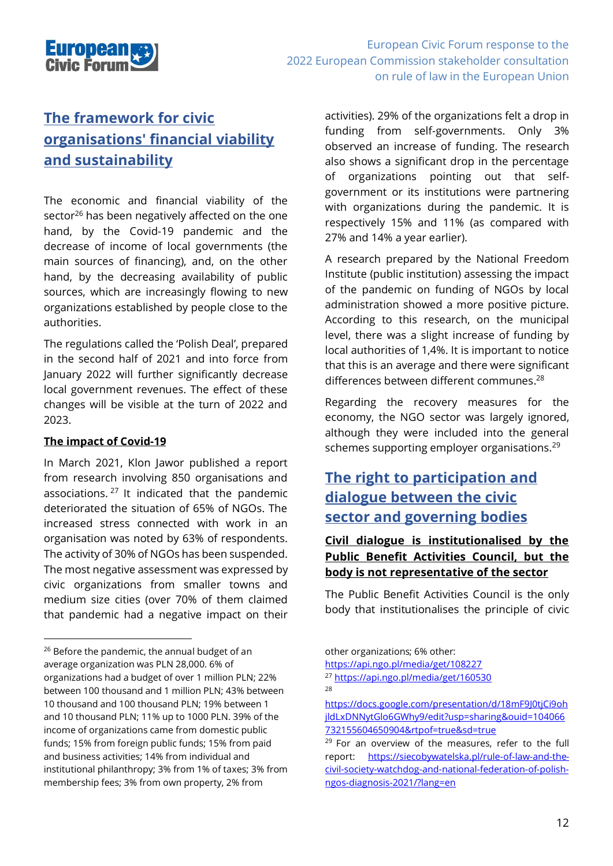

# **The framework for civic organisations' financial viability and sustainability**

The economic and financial viability of the sector<sup>26</sup> has been negatively affected on the one hand, by the Covid-19 pandemic and the decrease of income of local governments (the main sources of financing), and, on the other hand, by the decreasing availability of public sources, which are increasingly flowing to new organizations established by people close to the authorities.

The regulations called the 'Polish Deal', prepared in the second half of 2021 and into force from January 2022 will further significantly decrease local government revenues. The effect of these changes will be visible at the turn of 2022 and 2023.

#### **The impact of Covid-19**

In March 2021, Klon Jawor published a report from research involving 850 organisations and associations.<sup>27</sup> It indicated that the pandemic deteriorated the situation of 65% of NGOs. The increased stress connected with work in an organisation was noted by 63% of respondents. The activity of 30% of NGOs has been suspended. The most negative assessment was expressed by civic organizations from smaller towns and medium size cities (over 70% of them claimed that pandemic had a negative impact on their

activities). 29% of the organizations felt a drop in funding from self-governments. Only 3% observed an increase of funding. The research also shows a significant drop in the percentage of organizations pointing out that selfgovernment or its institutions were partnering with organizations during the pandemic. It is respectively 15% and 11% (as compared with 27% and 14% a year earlier).

A research prepared by the National Freedom Institute (public institution) assessing the impact of the pandemic on funding of NGOs by local administration showed a more positive picture. According to this research, on the municipal level, there was a slight increase of funding by local authorities of 1,4%. It is important to notice that this is an average and there were significant differences between different communes. 28

Regarding the recovery measures for the economy, the NGO sector was largely ignored, although they were included into the general schemes supporting employer organisations.<sup>29</sup>

## **The right to participation and dialogue between the civic sector and governing bodies**

#### **Civil dialogue is institutionalised by the Public Benefit Activities Council, but the body is not representative of the sector**

The Public Benefit Activities Council is the only body that institutionalises the principle of civic

<sup>&</sup>lt;sup>26</sup> Before the pandemic, the annual budget of an average organization was PLN 28,000. 6% of organizations had a budget of over 1 million PLN; 22% between 100 thousand and 1 million PLN; 43% between 10 thousand and 100 thousand PLN; 19% between 1 and 10 thousand PLN; 11% up to 1000 PLN. 39% of the income of organizations came from domestic public funds; 15% from foreign public funds; 15% from paid and business activities; 14% from individual and institutional philanthropy; 3% from 1% of taxes; 3% from membership fees; 3% from own property, 2% from

other organizations; 6% other:

<https://api.ngo.pl/media/get/108227>

<sup>27</sup> <https://api.ngo.pl/media/get/160530>

<sup>28</sup>

[https://docs.google.com/presentation/d/18mF9J0tjCi9oh](https://docs.google.com/presentation/d/18mF9J0tjCi9ohjldLxDNNytGlo6GWhy9/edit?usp=sharing&ouid=104066732155604650904&rtpof=true&sd=true) [jldLxDNNytGlo6GWhy9/edit?usp=sharing&ouid=104066](https://docs.google.com/presentation/d/18mF9J0tjCi9ohjldLxDNNytGlo6GWhy9/edit?usp=sharing&ouid=104066732155604650904&rtpof=true&sd=true) [732155604650904&rtpof=true&sd=true](https://docs.google.com/presentation/d/18mF9J0tjCi9ohjldLxDNNytGlo6GWhy9/edit?usp=sharing&ouid=104066732155604650904&rtpof=true&sd=true)

<sup>&</sup>lt;sup>29</sup> For an overview of the measures, refer to the full report: [https://siecobywatelska.pl/rule-of-law-and-the](https://siecobywatelska.pl/rule-of-law-and-the-civil-society-watchdog-and-national-federation-of-polish-ngos-diagnosis-2021/?lang=en)[civil-society-watchdog-and-national-federation-of-polish](https://siecobywatelska.pl/rule-of-law-and-the-civil-society-watchdog-and-national-federation-of-polish-ngos-diagnosis-2021/?lang=en)[ngos-diagnosis-2021/?lang=en](https://siecobywatelska.pl/rule-of-law-and-the-civil-society-watchdog-and-national-federation-of-polish-ngos-diagnosis-2021/?lang=en)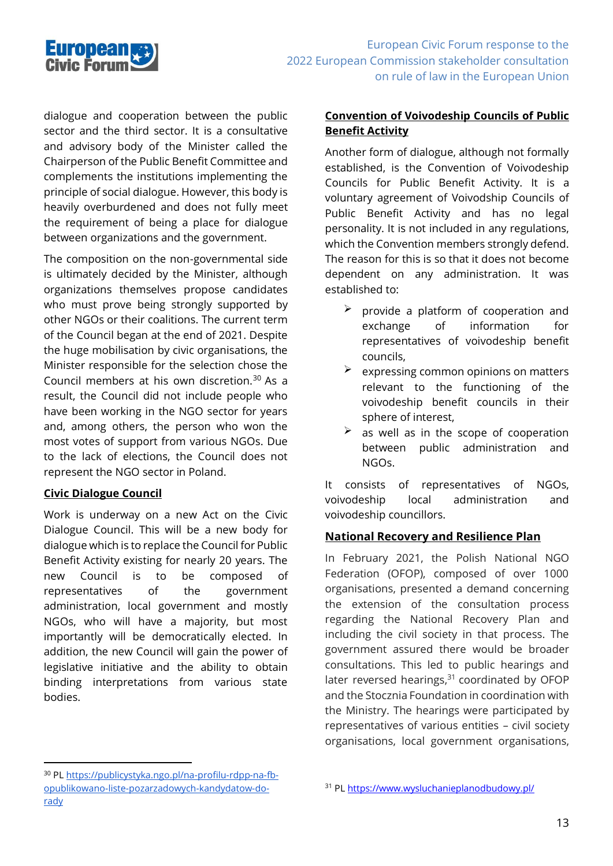

dialogue and cooperation between the public sector and the third sector. It is a consultative and advisory body of the Minister called the Chairperson of the Public Benefit Committee and complements the institutions implementing the principle of social dialogue. However, this body is heavily overburdened and does not fully meet the requirement of being a place for dialogue between organizations and the government.

The composition on the non-governmental side is ultimately decided by the Minister, although organizations themselves propose candidates who must prove being strongly supported by other NGOs or their coalitions. The current term of the Council began at the end of 2021. Despite the huge mobilisation by civic organisations, the Minister responsible for the selection chose the Council members at his own discretion.<sup>30</sup> As a result, the Council did not include people who have been working in the NGO sector for years and, among others, the person who won the most votes of support from various NGOs. Due to the lack of elections, the Council does not represent the NGO sector in Poland.

#### **Civic Dialogue Council**

Work is underway on a new Act on the Civic Dialogue Council. This will be a new body for dialogue which is to replace the Council for Public Benefit Activity existing for nearly 20 years. The new Council is to be composed of representatives of the government administration, local government and mostly NGOs, who will have a majority, but most importantly will be democratically elected. In addition, the new Council will gain the power of legislative initiative and the ability to obtain binding interpretations from various state bodies.

#### **Convention of Voivodeship Councils of Public Benefit Activity**

Another form of dialogue, although not formally established, is the Convention of Voivodeship Councils for Public Benefit Activity. It is a voluntary agreement of Voivodship Councils of Public Benefit Activity and has no legal personality. It is not included in any regulations, which the Convention members strongly defend. The reason for this is so that it does not become dependent on any administration. It was established to:

- $\geq$  provide a platform of cooperation and exchange of information for representatives of voivodeship benefit councils,
- expressing common opinions on matters relevant to the functioning of the voivodeship benefit councils in their sphere of interest,
- as well as in the scope of cooperation between public administration and NGOs.

It consists of representatives of NGOs, voivodeship local administration and voivodeship councillors.

#### **National Recovery and Resilience Plan**

In February 2021, the Polish National NGO Federation (OFOP), composed of over 1000 organisations, presented a demand concerning the extension of the consultation process regarding the National Recovery Plan and including the civil society in that process. The government assured there would be broader consultations. This led to public hearings and later reversed hearings,<sup>31</sup> coordinated by OFOP and the Stocznia Foundation in coordination with the Ministry. The hearings were participated by representatives of various entities – civil society organisations, local government organisations,

<sup>30</sup> PL [https://publicystyka.ngo.pl/na-profilu-rdpp-na-fb](https://publicystyka.ngo.pl/na-profilu-rdpp-na-fb-opublikowano-liste-pozarzadowych-kandydatow-do-rady)[opublikowano-liste-pozarzadowych-kandydatow-do](https://publicystyka.ngo.pl/na-profilu-rdpp-na-fb-opublikowano-liste-pozarzadowych-kandydatow-do-rady)[rady](https://publicystyka.ngo.pl/na-profilu-rdpp-na-fb-opublikowano-liste-pozarzadowych-kandydatow-do-rady)

<sup>31</sup> P[L https://www.wysluchanieplanodbudowy.pl/](https://www.wysluchanieplanodbudowy.pl/)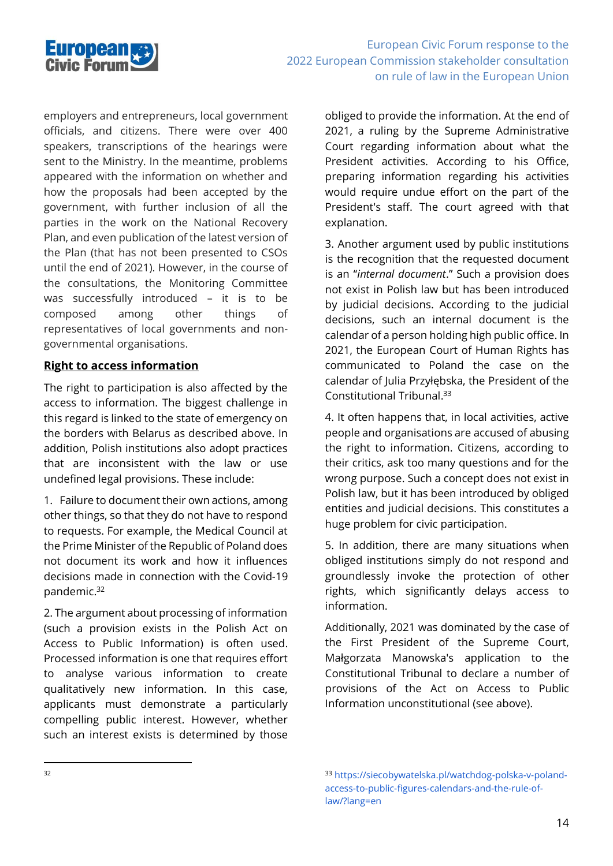

employers and entrepreneurs, local government officials, and citizens. There were over 400 speakers, transcriptions of the hearings were sent to the Ministry. In the meantime, problems appeared with the information on whether and how the proposals had been accepted by the government, with further inclusion of all the parties in the work on the National Recovery Plan, and even publication of the latest version of the Plan (that has not been presented to CSOs until the end of 2021). However, in the course of the consultations, the Monitoring Committee was successfully introduced – it is to be composed among other things of representatives of local governments and nongovernmental organisations.

#### **Right to access information**

The right to participation is also affected by the access to information. The biggest challenge in this regard is linked to the state of emergency on the borders with Belarus as described above. In addition, Polish institutions also adopt practices that are inconsistent with the law or use undefined legal provisions. These include:

1. Failure to document their own actions, among other things, so that they do not have to respond to requests. For example, the Medical Council at the Prime Minister of the Republic of Poland does not document its work and how it influences decisions made in connection with the Covid-19 pandemic. 32

2. The argument about processing of information (such a provision exists in the Polish Act on Access to Public Information) is often used. Processed information is one that requires effort to analyse various information to create qualitatively new information. In this case, applicants must demonstrate a particularly compelling public interest. However, whether such an interest exists is determined by those

obliged to provide the information. At the end of 2021, a ruling by the Supreme Administrative Court regarding information about what the President activities. According to his Office, preparing information regarding his activities would require undue effort on the part of the President's staff. The court agreed with that explanation.

3. Another argument used by public institutions is the recognition that the requested document is an "*internal document*." Such a provision does not exist in Polish law but has been introduced by judicial decisions. According to the judicial decisions, such an internal document is the calendar of a person holding high public office. In 2021, the European Court of Human Rights has communicated to Poland the case on the calendar of Julia Przyłębska, the President of the Constitutional Tribunal. 33

4. It often happens that, in local activities, active people and organisations are accused of abusing the right to information. Citizens, according to their critics, ask too many questions and for the wrong purpose. Such a concept does not exist in Polish law, but it has been introduced by obliged entities and judicial decisions. This constitutes a huge problem for civic participation.

5. In addition, there are many situations when obliged institutions simply do not respond and groundlessly invoke the protection of other rights, which significantly delays access to information.

Additionally, 2021 was dominated by the case of the First President of the Supreme Court, Małgorzata Manowska's application to the Constitutional Tribunal to declare a number of provisions of the Act on Access to Public Information unconstitutional (see above).

<sup>33</sup> https://siecobywatelska.pl/watchdog-polska-v-polandaccess-to-public-figures-calendars-and-the-rule-oflaw/?lang=en